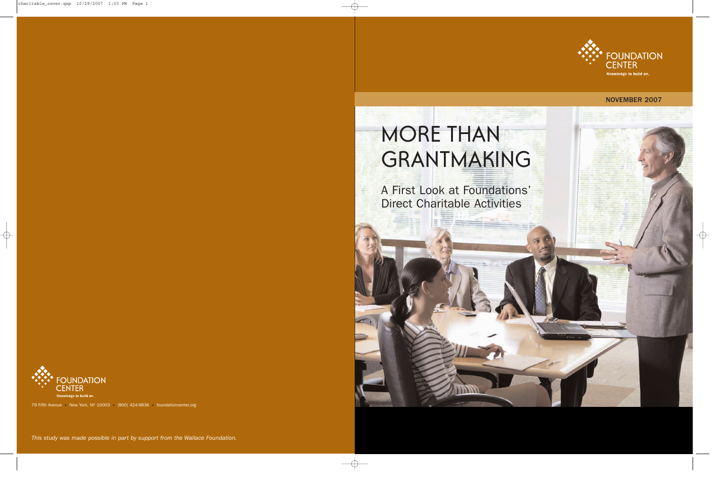

## NOVEMBER 2007

# MORE THAN GRANTMAKING

A First Look at Foundations' Direct Charitable Activities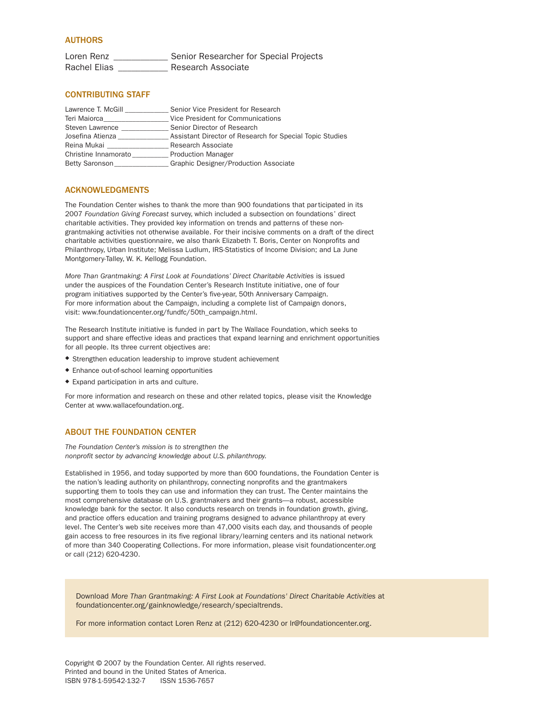#### AUTHORS

Loren Renz \_\_\_\_\_\_\_\_\_\_\_\_\_\_\_ Senior Researcher for Special Projects Rachel Elias \_\_\_\_\_\_\_\_\_\_\_\_\_ Research Associate

#### CONTRIBUTING STAFF

| Lawrence T. McGill   | Senior Vice President for Research                       |
|----------------------|----------------------------------------------------------|
| Teri Maiorca         | Vice President for Communications                        |
| Steven Lawrence      | Senior Director of Research                              |
| Josefina Atienza     | Assistant Director of Research for Special Topic Studies |
| Reina Mukai          | Research Associate                                       |
| Christine Innamorato | <b>Production Manager</b>                                |
| Betty Saronson       | Graphic Designer/Production Associate                    |

#### ACKNOWLEDGMENTS

The Foundation Center wishes to thank the more than 900 foundations that participated in its 2007 *Foundation Giving Forecast* survey, which included a subsection on foundations' direct charitable activities. They provided key information on trends and patterns of these nongrantmaking activities not otherwise available. For their incisive comments on a draft of the direct charitable activities questionnaire, we also thank Elizabeth T. Boris, Center on Nonprofits and Philanthropy, Urban Institute; Melissa Ludlum, IRS-Statistics of Income Division; and La June Montgomery-Talley, W. K. Kellogg Foundation.

*More Than Grantmaking: A First Look at Foundations' Direct Charitable Activities* is issued under the auspices of the Foundation Center's Research Institute initiative, one of four program initiatives supported by the Center's five-year, 50th Anniversary Campaign. For more information about the Campaign, including a complete list of Campaign donors, visit: www.foundationcenter.org/fundfc/50th\_campaign.html.

The Research Institute initiative is funded in part by The Wallace Foundation, which seeks to support and share effective ideas and practices that expand learning and enrichment opportunities for all people. Its three current objectives are:

- ◆ Strengthen education leadership to improve student achievement
- ◆ Enhance out-of-school learning opportunities
- ◆ Expand participation in arts and culture.

For more information and research on these and other related topics, please visit the Knowledge Center at www.wallacefoundation.org.

#### ABOUT THE FOUNDATION CENTER

*The Foundation Center's mission is to strengthen the nonprofit sector by advancing knowledge about U.S. philanthropy.*

Established in 1956, and today supported by more than 600 foundations, the Foundation Center is the nation's leading authority on philanthropy, connecting nonprofits and the grantmakers supporting them to tools they can use and information they can trust. The Center maintains the most comprehensive database on U.S. grantmakers and their grants—a robust, accessible knowledge bank for the sector. It also conducts research on trends in foundation growth, giving, and practice offers education and training programs designed to advance philanthropy at every level. The Center's web site receives more than 47,000 visits each day, and thousands of people gain access to free resources in its five regional library/learning centers and its national network of more than 340 Cooperating Collections. For more information, please visit foundationcenter.org or call (212) 620-4230.

Download *More Than Grantmaking: A First Look at Foundations' Direct Charitable Activities* at foundationcenter.org/gainknowledge/research/specialtrends.

For more information contact Loren Renz at (212) 620-4230 or lr@foundationcenter.org.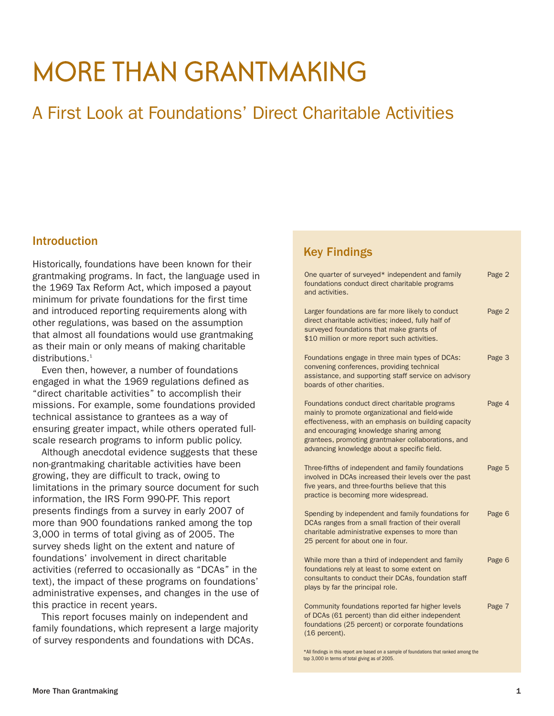## **MORE THAN GRANTMAKING**

## A First Look at Foundations' Direct Charitable Activities

### Introduction

Historically, foundations have been known for their grantmaking programs. In fact, the language used in the 1969 Tax Reform Act, which imposed a payout minimum for private foundations for the first time and introduced reporting requirements along with other regulations, was based on the assumption that almost all foundations would use grantmaking as their main or only means of making charitable distributions.<sup>1</sup>

Even then, however, a number of foundations engaged in what the 1969 regulations defined as "direct charitable activities" to accomplish their missions. For example, some foundations provided technical assistance to grantees as a way of ensuring greater impact, while others operated fullscale research programs to inform public policy.

Although anecdotal evidence suggests that these non-grantmaking charitable activities have been growing, they are difficult to track, owing to limitations in the primary source document for such information, the IRS Form 990-PF. This report presents findings from a survey in early 2007 of more than 900 foundations ranked among the top 3,000 in terms of total giving as of 2005. The survey sheds light on the extent and nature of foundations' involvement in direct charitable activities (referred to occasionally as "DCAs" in the text), the impact of these programs on foundations' administrative expenses, and changes in the use of this practice in recent years.

This report focuses mainly on independent and family foundations, which represent a large majority of survey respondents and foundations with DCAs.

## Key Findings

| One quarter of surveyed* independent and family<br>foundations conduct direct charitable programs<br>and activities.                                                                                                                                                                                      | Page 2 |
|-----------------------------------------------------------------------------------------------------------------------------------------------------------------------------------------------------------------------------------------------------------------------------------------------------------|--------|
| Larger foundations are far more likely to conduct<br>direct charitable activities; indeed, fully half of<br>surveyed foundations that make grants of<br>\$10 million or more report such activities.                                                                                                      | Page 2 |
| Foundations engage in three main types of DCAs:<br>convening conferences, providing technical<br>assistance, and supporting staff service on advisory<br>boards of other charities.                                                                                                                       | Page 3 |
| Foundations conduct direct charitable programs<br>mainly to promote organizational and field-wide<br>effectiveness, with an emphasis on building capacity<br>and encouraging knowledge sharing among<br>grantees, promoting grantmaker collaborations, and<br>advancing knowledge about a specific field. | Page 4 |
| Three-fifths of independent and family foundations<br>involved in DCAs increased their levels over the past<br>five years, and three-fourths believe that this<br>practice is becoming more widespread.                                                                                                   | Page 5 |
| Spending by independent and family foundations for<br>DCAs ranges from a small fraction of their overall<br>charitable administrative expenses to more than<br>25 percent for about one in four.                                                                                                          | Page 6 |
| While more than a third of independent and family<br>foundations rely at least to some extent on<br>consultants to conduct their DCAs, foundation staff<br>plays by far the principal role.                                                                                                               | Page 6 |
| Community foundations reported far higher levels<br>of DCAs (61 percent) than did either independent<br>foundations (25 percent) or corporate foundations<br>(16 percent).                                                                                                                                | Page 7 |

\*All findings in this report are based on a sample of foundations that ranked among the top 3,000 in terms of total giving as of 2005.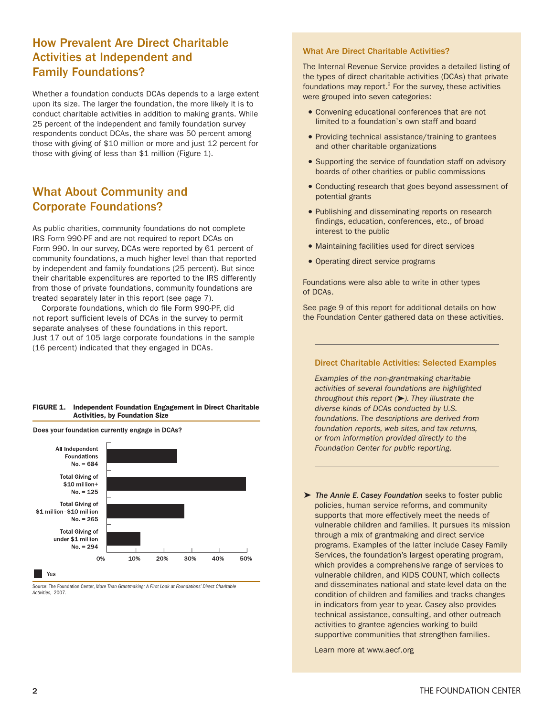## How Prevalent Are Direct Charitable Activities at Independent and Family Foundations?

Whether a foundation conducts DCAs depends to a large extent upon its size. The larger the foundation, the more likely it is to conduct charitable activities in addition to making grants. While 25 percent of the independent and family foundation survey respondents conduct DCAs, the share was 50 percent among those with giving of \$10 million or more and just 12 percent for those with giving of less than \$1 million (Figure 1).

## What About Community and Corporate Foundations?

As public charities, community foundations do not complete IRS Form 990-PF and are not required to report DCAs on Form 990. In our survey, DCAs were reported by 61 percent of community foundations, a much higher level than that reported by independent and family foundations (25 percent). But since their charitable expenditures are reported to the IRS differently from those of private foundations, community foundations are treated separately later in this report (see page 7).

Corporate foundations, which do file Form 990-PF, did not report sufficient levels of DCAs in the survey to permit separate analyses of these foundations in this report. Just 17 out of 105 large corporate foundations in the sample (16 percent) indicated that they engaged in DCAs.

#### **FIGURE 1. Independent Foundation Engagement in Direct Charitable Activities, by Foundation Size**

Does your foundation currently engage in DCAs?



Source: The Foundation Center, *More Than Grantmaking: A First Look at Foundations' Direct Charitable Activities,* 2007.

#### What Are Direct Charitable Activities?

The Internal Revenue Service provides a detailed listing of the types of direct charitable activities (DCAs) that private foundations may report. $<sup>2</sup>$  For the survey, these activities</sup> were grouped into seven categories:

- Convening educational conferences that are not limited to a foundation's own staff and board
- Providing technical assistance/training to grantees and other charitable organizations
- Supporting the service of foundation staff on advisory boards of other charities or public commissions
- Conducting research that goes beyond assessment of potential grants
- Publishing and disseminating reports on research findings, education, conferences, etc., of broad interest to the public
- Maintaining facilities used for direct services
- Operating direct service programs

Foundations were also able to write in other types of DCAs.

See page 9 of this report for additional details on how the Foundation Center gathered data on these activities.

#### Direct Charitable Activities: Selected Examples

*Examples of the non-grantmaking charitable activities of several foundations are highlighted throughout this report ( ). They illustrate the diverse kinds of DCAs conducted by U.S. foundations. The descriptions are derived from foundation reports, web sites, and tax returns, or from information provided directly to the Foundation Center for public reporting.*

➤ *The Annie E. Casey Foundation* seeks to foster public policies, human service reforms, and community supports that more effectively meet the needs of vulnerable children and families. It pursues its mission through a mix of grantmaking and direct service programs. Examples of the latter include Casey Family Services, the foundation's largest operating program, which provides a comprehensive range of services to vulnerable children, and KIDS COUNT, which collects and disseminates national and state-level data on the condition of children and families and tracks changes in indicators from year to year. Casey also provides technical assistance, consulting, and other outreach activities to grantee agencies working to build supportive communities that strengthen families.

Learn more at www.aecf.org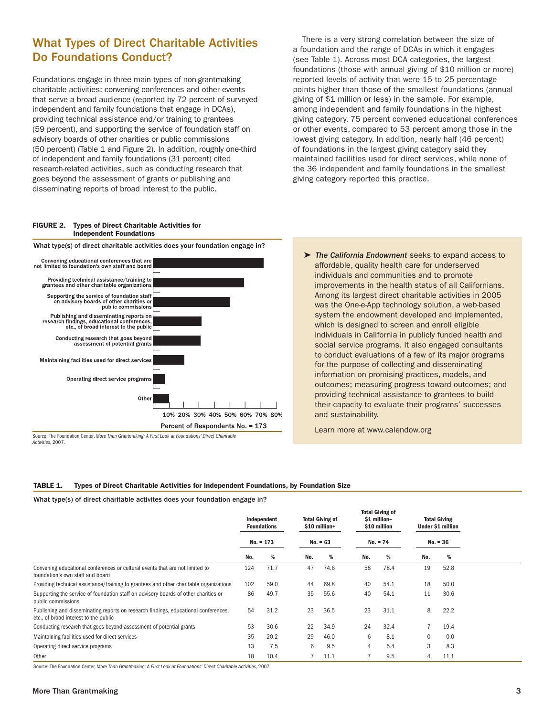## What Types of Direct Charitable Activities Do Foundations Conduct?

Foundations engage in three main types of non-grantmaking charitable activities: convening conferences and other events that serve a broad audience (reported by 72 percent of surveyed independent and family foundations that engage in DCAs), providing technical assistance and/or training to grantees (59 percent), and supporting the service of foundation staff on advisory boards of other charities or public commissions (50 percent) (Table 1 and Figure 2). In addition, roughly one-third of independent and family foundations (31 percent) cited research-related activities, such as conducting research that goes beyond the assessment of grants or publishing and disseminating reports of broad interest to the public.

What type(s) of direct charitable activities does your foundation engage in?

There is a very strong correlation between the size of a foundation and the range of DCAs in which it engages (see Table 1). Across most DCA categories, the largest foundations (those with annual giving of \$10 million or more) reported levels of activity that were 15 to 25 percentage points higher than those of the smallest foundations (annual giving of \$1 million or less) in the sample. For example, among independent and family foundations in the highest giving category, 75 percent convened educational conferences or other events, compared to 53 percent among those in the lowest giving category. In addition, nearly half (46 percent) of foundations in the largest giving category said they maintained facilities used for direct services, while none of the 36 independent and family foundations in the smallest giving category reported this practice.

#### **FIGURE 2. Types of Direct Charitable Activities for Independent Foundations**



Source: The Foundation Center, *More Than Grantmaking: A First Look at Foundations' Direct Charitable Activities,* 2007.

➤ *The California Endowment* seeks to expand access to affordable, quality health care for underserved individuals and communities and to promote improvements in the health status of all Californians. Among its largest direct charitable activities in 2005 was the One-e-App technology solution, a web-based system the endowment developed and implemented, which is designed to screen and enroll eligible individuals in California in publicly funded health and social service programs. It also engaged consultants to conduct evaluations of a few of its major programs for the purpose of collecting and disseminating information on promising practices, models, and outcomes; measuring progress toward outcomes; and providing technical assistance to grantees to build their capacity to evaluate their programs' successes and sustainability.

Learn more at www.calendow.org

#### **TABLE 1. Types of Direct Charitable Activities for Independent Foundations, by Foundation Size**

What type(s) of direct charitable activites does your foundation engage in?

|                                                                                                                              | Independent<br><b>Foundations</b><br>$No. = 173$ |      |            | <b>Total Giving of</b><br>\$10 million+ |     | <b>Total Giving of</b><br>\$1 million-<br>\$10 million<br>$No. = 74$ |     | <b>Total Giving</b><br><b>Under \$1 million</b> |  |
|------------------------------------------------------------------------------------------------------------------------------|--------------------------------------------------|------|------------|-----------------------------------------|-----|----------------------------------------------------------------------|-----|-------------------------------------------------|--|
|                                                                                                                              |                                                  |      | $No. = 63$ |                                         |     |                                                                      |     | $No. = 36$                                      |  |
|                                                                                                                              | No.                                              | %    | No.        | %                                       | No. | %                                                                    | No. | %                                               |  |
| Convening educational conferences or cultural events that are not limited to<br>foundation's own staff and board             | 124                                              | 71.7 | 47         | 74.6                                    | 58  | 78.4                                                                 | 19  | 52.8                                            |  |
| Providing technical assistance/training to grantees and other charitable organizations                                       | 102                                              | 59.0 | 44         | 69.8                                    | 40  | 54.1                                                                 | 18  | 50.0                                            |  |
| Supporting the service of foundation staff on advisory boards of other charities or<br>public commissions                    | 86                                               | 49.7 | 35         | 55.6                                    | 40  | 54.1                                                                 | 11  | 30.6                                            |  |
| Publishing and disseminating reports on research findings, educational conferences,<br>etc., of broad interest to the public | 54                                               | 31.2 | 23         | 36.5                                    | 23  | 31.1                                                                 | 8   | 22.2                                            |  |
| Conducting research that goes beyond assessment of potential grants                                                          | 53                                               | 30.6 | 22         | 34.9                                    | 24  | 32.4                                                                 | 7   | 19.4                                            |  |
| Maintaining facilities used for direct services                                                                              | 35                                               | 20.2 | 29         | 46.0                                    | 6   | 8.1                                                                  | 0   | 0.0                                             |  |
| Operating direct service programs                                                                                            | 13                                               | 7.5  | 6          | 9.5                                     | 4   | 5.4                                                                  | 3   | 8.3                                             |  |
| Other                                                                                                                        | 18                                               | 10.4 |            | 11.1                                    |     | 9.5                                                                  | 4   | 11.1                                            |  |

Source: The Foundation Center, *More Than Grantmaking: A First Look at Foundations' Direct Charitable Activities,* 2007.

#### More Than Grantmaking 3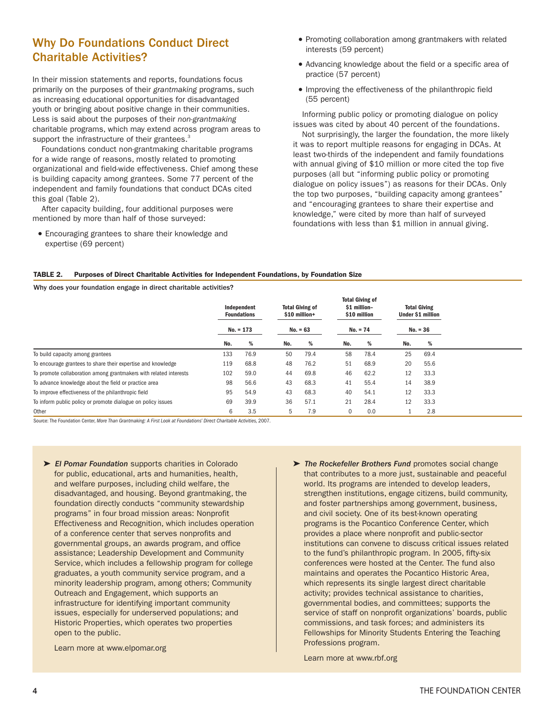## Why Do Foundations Conduct Direct Charitable Activities?

In their mission statements and reports, foundations focus primarily on the purposes of their *grantmaking* programs, such as increasing educational opportunities for disadvantaged youth or bringing about positive change in their communities. Less is said about the purposes of their *non-grantmaking* charitable programs, which may extend across program areas to support the infrastructure of their grantees.<sup>3</sup>

Foundations conduct non-grantmaking charitable programs for a wide range of reasons, mostly related to promoting organizational and field-wide effectiveness. Chief among these is building capacity among grantees. Some 77 percent of the independent and family foundations that conduct DCAs cited this goal (Table 2).

After capacity building, four additional purposes were mentioned by more than half of those surveyed:

• Encouraging grantees to share their knowledge and expertise (69 percent)

- Promoting collaboration among grantmakers with related interests (59 percent)
- Advancing knowledge about the field or a specific area of practice (57 percent)
- Improving the effectiveness of the philanthropic field (55 percent)

Informing public policy or promoting dialogue on policy issues was cited by about 40 percent of the foundations.

Not surprisingly, the larger the foundation, the more likely it was to report multiple reasons for engaging in DCAs. At least two-thirds of the independent and family foundations with annual giving of \$10 million or more cited the top five purposes (all but "informing public policy or promoting dialogue on policy issues") as reasons for their DCAs. Only the top two purposes, "building capacity among grantees" and "encouraging grantees to share their expertise and knowledge," were cited by more than half of surveyed foundations with less than \$1 million in annual giving.

#### **TABLE 2. Purposes of Direct Charitable Activities for Independent Foundations, by Foundation Size**

Why does your foundation engage in direct charitable activities?

|                                                                   | Independent<br><b>Foundations</b><br>$No. = 173$ |      | <b>Total Giving of</b><br>\$10 million+<br>$No. = 63$ |      | <b>Total Giving of</b><br>\$1 million-<br>\$10 million<br>$No. = 74$ |      | <b>Total Giving</b><br><b>Under \$1 million</b><br>$No. = 36$ |      |
|-------------------------------------------------------------------|--------------------------------------------------|------|-------------------------------------------------------|------|----------------------------------------------------------------------|------|---------------------------------------------------------------|------|
|                                                                   | No.                                              | %    | No.                                                   | %    | No.                                                                  | %    | No.                                                           | %    |
| To build capacity among grantees                                  | 133                                              | 76.9 | 50                                                    | 79.4 | 58                                                                   | 78.4 | 25                                                            | 69.4 |
| To encourage grantees to share their expertise and knowledge      | 119                                              | 68.8 | 48                                                    | 76.2 | 51                                                                   | 68.9 | 20                                                            | 55.6 |
| To promote collaboration among grantmakers with related interests | 102                                              | 59.0 | 44                                                    | 69.8 | 46                                                                   | 62.2 | 12                                                            | 33.3 |
| To advance knowledge about the field or practice area             | 98                                               | 56.6 | 43                                                    | 68.3 | 41                                                                   | 55.4 | 14                                                            | 38.9 |
| To improve effectiveness of the philanthropic field               | 95                                               | 54.9 | 43                                                    | 68.3 | 40                                                                   | 54.1 | 12                                                            | 33.3 |
| To inform public policy or promote dialogue on policy issues      | 69                                               | 39.9 | 36                                                    | 57.1 | 21                                                                   | 28.4 | 12                                                            | 33.3 |
| Other                                                             | 6                                                | 3.5  | 5                                                     | 7.9  | $\mathbf 0$                                                          | 0.0  |                                                               | 2.8  |

Source: The Foundation Center, *More Than Grantmaking: A First Look at Foundations' Direct Charitable Activities,* 2007.

➤ *El Pomar Foundation* supports charities in Colorado for public, educational, arts and humanities, health, and welfare purposes, including child welfare, the disadvantaged, and housing. Beyond grantmaking, the foundation directly conducts "community stewardship programs" in four broad mission areas: Nonprofit Effectiveness and Recognition, which includes operation of a conference center that serves nonprofits and governmental groups, an awards program, and office assistance; Leadership Development and Community Service, which includes a fellowship program for college graduates, a youth community service program, and a minority leadership program, among others; Community Outreach and Engagement, which supports an infrastructure for identifying important community issues, especially for underserved populations; and Historic Properties, which operates two properties open to the public.

Learn more at www.elpomar.org

➤ *The Rockefeller Brothers Fund* promotes social change that contributes to a more just, sustainable and peaceful world. Its programs are intended to develop leaders, strengthen institutions, engage citizens, build community, and foster partnerships among government, business, and civil society. One of its best-known operating programs is the Pocantico Conference Center, which provides a place where nonprofit and public-sector institutions can convene to discuss critical issues related to the fund's philanthropic program. In 2005, fifty-six conferences were hosted at the Center. The fund also maintains and operates the Pocantico Historic Area, which represents its single largest direct charitable activity; provides technical assistance to charities, governmental bodies, and committees; supports the service of staff on nonprofit organizations' boards, public commissions, and task forces; and administers its Fellowships for Minority Students Entering the Teaching Professions program.

Learn more at www.rbf.org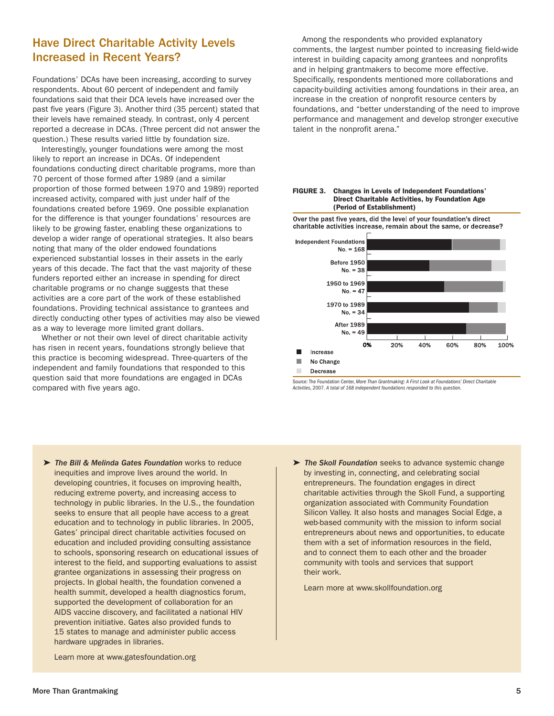## Have Direct Charitable Activity Levels Increased in Recent Years?

Foundations' DCAs have been increasing, according to survey respondents. About 60 percent of independent and family foundations said that their DCA levels have increased over the past five years (Figure 3). Another third (35 percent) stated that their levels have remained steady. In contrast, only 4 percent reported a decrease in DCAs. (Three percent did not answer the question.) These results varied little by foundation size.

Interestingly, younger foundations were among the most likely to report an increase in DCAs. Of independent foundations conducting direct charitable programs, more than 70 percent of those formed after 1989 (and a similar proportion of those formed between 1970 and 1989) reported increased activity, compared with just under half of the foundations created before 1969. One possible explanation for the difference is that younger foundations' resources are likely to be growing faster, enabling these organizations to develop a wider range of operational strategies. It also bears noting that many of the older endowed foundations experienced substantial losses in their assets in the early years of this decade. The fact that the vast majority of these funders reported either an increase in spending for direct charitable programs or no change suggests that these activities are a core part of the work of these established foundations. Providing technical assistance to grantees and directly conducting other types of activities may also be viewed as a way to leverage more limited grant dollars.

Whether or not their own level of direct charitable activity has risen in recent years, foundations strongly believe that this practice is becoming widespread. Three-quarters of the independent and family foundations that responded to this question said that more foundations are engaged in DCAs compared with five years ago.

Among the respondents who provided explanatory comments, the largest number pointed to increasing field-wide interest in building capacity among grantees and nonprofits and in helping grantmakers to become more effective. Specifically, respondents mentioned more collaborations and capacity-building activities among foundations in their area, an increase in the creation of nonprofit resource centers by foundations, and "better understanding of the need to improve performance and management and develop stronger executive talent in the nonprofit arena."





Source: The Foundation Center, *More Than Grantmaking: A First Look at Foundations' Direct Charitable Activities,* 2007. *A total of 168 independent foundations responded to this question.*

- ➤ *The Bill & Melinda Gates Foundation* works to reduce inequities and improve lives around the world. In developing countries, it focuses on improving health, reducing extreme poverty, and increasing access to technology in public libraries. In the U.S., the foundation seeks to ensure that all people have access to a great education and to technology in public libraries. In 2005, Gates' principal direct charitable activities focused on education and included providing consulting assistance to schools, sponsoring research on educational issues of interest to the field, and supporting evaluations to assist grantee organizations in assessing their progress on projects. In global health, the foundation convened a health summit, developed a health diagnostics forum, supported the development of collaboration for an AIDS vaccine discovery, and facilitated a national HIV prevention initiative. Gates also provided funds to 15 states to manage and administer public access hardware upgrades in libraries.
- ➤ *The Skoll Foundation* seeks to advance systemic change by investing in, connecting, and celebrating social entrepreneurs. The foundation engages in direct charitable activities through the Skoll Fund, a supporting organization associated with Community Foundation Silicon Valley. It also hosts and manages Social Edge, a web-based community with the mission to inform social entrepreneurs about news and opportunities, to educate them with a set of information resources in the field, and to connect them to each other and the broader community with tools and services that support their work.

Learn more at www.skollfoundation.org

Learn more at www.gatesfoundation.org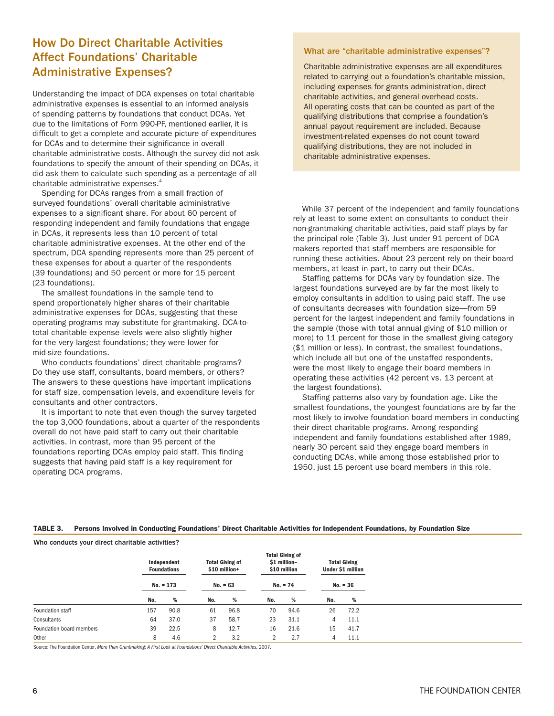## How Do Direct Charitable Activities Affect Foundations' Charitable Administrative Expenses?

Understanding the impact of DCA expenses on total charitable administrative expenses is essential to an informed analysis of spending patterns by foundations that conduct DCAs. Yet due to the limitations of Form 990-PF, mentioned earlier, it is difficult to get a complete and accurate picture of expenditures for DCAs and to determine their significance in overall charitable administrative costs. Although the survey did not ask foundations to specify the amount of their spending on DCAs, it did ask them to calculate such spending as a percentage of all charitable administrative expenses.<sup>4</sup>

Spending for DCAs ranges from a small fraction of surveyed foundations' overall charitable administrative expenses to a significant share. For about 60 percent of responding independent and family foundations that engage in DCAs, it represents less than 10 percent of total charitable administrative expenses. At the other end of the spectrum, DCA spending represents more than 25 percent of these expenses for about a quarter of the respondents (39 foundations) and 50 percent or more for 15 percent (23 foundations).

The smallest foundations in the sample tend to spend proportionately higher shares of their charitable administrative expenses for DCAs, suggesting that these operating programs may substitute for grantmaking. DCA-tototal charitable expense levels were also slightly higher for the very largest foundations; they were lower for mid-size foundations.

Who conducts foundations' direct charitable programs? Do they use staff, consultants, board members, or others? The answers to these questions have important implications for staff size, compensation levels, and expenditure levels for consultants and other contractors.

It is important to note that even though the survey targeted the top 3,000 foundations, about a quarter of the respondents overall do not have paid staff to carry out their charitable activities. In contrast, more than 95 percent of the foundations reporting DCAs employ paid staff. This finding suggests that having paid staff is a key requirement for operating DCA programs.

#### What are "charitable administrative expenses"?

Charitable administrative expenses are all expenditures related to carrying out a foundation's charitable mission, including expenses for grants administration, direct charitable activities, and general overhead costs. All operating costs that can be counted as part of the qualifying distributions that comprise a foundation's annual payout requirement are included. Because investment-related expenses do not count toward qualifying distributions, they are not included in charitable administrative expenses.

While 37 percent of the independent and family foundations rely at least to some extent on consultants to conduct their non-grantmaking charitable activities, paid staff plays by far the principal role (Table 3). Just under 91 percent of DCA makers reported that staff members are responsible for running these activities. About 23 percent rely on their board members, at least in part, to carry out their DCAs.

Staffing patterns for DCAs vary by foundation size. The largest foundations surveyed are by far the most likely to employ consultants in addition to using paid staff. The use of consultants decreases with foundation size—from 59 percent for the largest independent and family foundations in the sample (those with total annual giving of \$10 million or more) to 11 percent for those in the smallest giving category (\$1 million or less). In contrast, the smallest foundations, which include all but one of the unstaffed respondents, were the most likely to engage their board members in operating these activities (42 percent vs. 13 percent at the largest foundations).

Staffing patterns also vary by foundation age. Like the smallest foundations, the youngest foundations are by far the most likely to involve foundation board members in conducting their direct charitable programs. Among responding independent and family foundations established after 1989, nearly 30 percent said they engage board members in conducting DCAs, while among those established prior to 1950, just 15 percent use board members in this role.

#### **TABLE 3. Persons Involved in Conducting Foundations' Direct Charitable Activities for Independent Foundations, by Foundation Size**

Who conducts your direct charitable activities?

|                          |     | Independent<br><b>Foundations</b> |     | <b>Total Giving of</b><br>\$10 million+ |              | <b>Total Giving of</b><br>\$1 million-<br>\$10 million |     | <b>Total Giving</b><br><b>Under \$1 million</b> |
|--------------------------|-----|-----------------------------------|-----|-----------------------------------------|--------------|--------------------------------------------------------|-----|-------------------------------------------------|
|                          |     | $No. = 173$                       |     | $No. = 63$                              |              | $No. = 74$                                             |     | $No. = 36$                                      |
|                          | No. | %                                 | No. | %                                       | No.          | %                                                      | No. | %                                               |
| Foundation staff         | 157 | 90.8                              | 61  | 96.8                                    | 70           | 94.6                                                   | 26  | 72.2                                            |
| Consultants              | 64  | 37.0                              | 37  | 58.7                                    | 23           | 31.1                                                   | 4   | 11.1                                            |
| Foundation board members | 39  | 22.5                              | 8   | 12.7                                    | 16           | 21.6                                                   | 15  | 41.7                                            |
| Other                    | 8   | 4.6                               | 2   | 3.2                                     | $\mathbf{2}$ | 2.7                                                    | 4   | 11.1                                            |

Source: The Foundation Center, *More Than Grantmaking: A First Look at Foundations' Direct Charitable Activities,* 2007.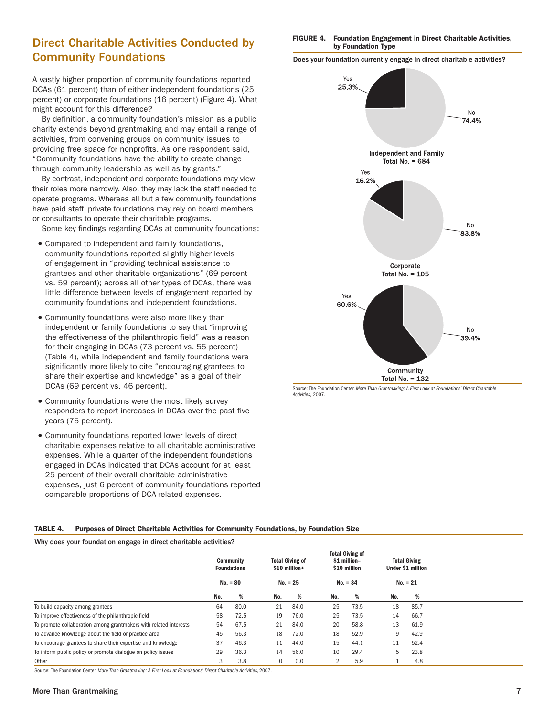## Direct Charitable Activities Conducted by Community Foundations

A vastly higher proportion of community foundations reported DCAs (61 percent) than of either independent foundations (25 percent) or corporate foundations (16 percent) (Figure 4). What might account for this difference?

By definition, a community foundation's mission as a public charity extends beyond grantmaking and may entail a range of activities, from convening groups on community issues to providing free space for nonprofits. As one respondent said, "Community foundations have the ability to create change through community leadership as well as by grants."

By contrast, independent and corporate foundations may view their roles more narrowly. Also, they may lack the staff needed to operate programs. Whereas all but a few community foundations have paid staff, private foundations may rely on board members or consultants to operate their charitable programs.

Some key findings regarding DCAs at community foundations:

- Compared to independent and family foundations, community foundations reported slightly higher levels of engagement in "providing technical assistance to grantees and other charitable organizations" (69 percent vs. 59 percent); across all other types of DCAs, there was little difference between levels of engagement reported by community foundations and independent foundations.
- Community foundations were also more likely than independent or family foundations to say that "improving the effectiveness of the philanthropic field" was a reason for their engaging in DCAs (73 percent vs. 55 percent) (Table 4), while independent and family foundations were significantly more likely to cite "encouraging grantees to share their expertise and knowledge" as a goal of their DCAs (69 percent vs. 46 percent).
- Community foundations were the most likely survey responders to report increases in DCAs over the past five years (75 percent).
- Community foundations reported lower levels of direct charitable expenses relative to all charitable administrative expenses. While a quarter of the independent foundations engaged in DCAs indicated that DCAs account for at least 25 percent of their overall charitable administrative expenses, just 6 percent of community foundations reported comparable proportions of DCA-related expenses.

#### **FIGURE 4. Foundation Engagement in Direct Charitable Activities, by Foundation Type**

Does your foundation currently engage in direct charitable activities?



Source: The Foundation Center, *More Than Grantmaking: A First Look at Foundations' Direct Charitable Activities,* 2007.

#### **TABLE 4. Purposes of Direct Charitable Activities for Community Foundations, by Foundation Size**

Why does your foundation engage in direct charitable activities?

|                                                                   |     | <b>Community</b><br><b>Foundations</b><br>$No. = 80$ |     | <b>Total Giving of</b><br>\$10 million+<br>$No. = 25$ |                | <b>Total Giving of</b><br>\$1 million-<br>\$10 million<br>$No. = 34$ |     | <b>Total Giving</b><br>Under \$1 million<br>$No. = 21$ |  |
|-------------------------------------------------------------------|-----|------------------------------------------------------|-----|-------------------------------------------------------|----------------|----------------------------------------------------------------------|-----|--------------------------------------------------------|--|
|                                                                   | No. | %                                                    | No. | %                                                     | No.            | %                                                                    | No. | %                                                      |  |
| To build capacity among grantees                                  | 64  | 80.0                                                 | 21  | 84.0                                                  | 25             | 73.5                                                                 | 18  | 85.7                                                   |  |
| To improve effectiveness of the philanthropic field               | 58  | 72.5                                                 | 19  | 76.0                                                  | 25             | 73.5                                                                 | 14  | 66.7                                                   |  |
| To promote collaboration among grantmakers with related interests | 54  | 67.5                                                 | 21  | 84.0                                                  | 20             | 58.8                                                                 | 13  | 61.9                                                   |  |
| To advance knowledge about the field or practice area             | 45  | 56.3                                                 | 18  | 72.0                                                  | 18             | 52.9                                                                 | 9   | 42.9                                                   |  |
| To encourage grantees to share their expertise and knowledge      | 37  | 46.3                                                 | 11  | 44.0                                                  | 15             | 44.1                                                                 | 11  | 52.4                                                   |  |
| To inform public policy or promote dialogue on policy issues      | 29  | 36.3                                                 | 14  | 56.0                                                  | 10             | 29.4                                                                 | 5   | 23.8                                                   |  |
| Other                                                             | 3   | 3.8                                                  | 0   | 0.0                                                   | $\overline{2}$ | 5.9                                                                  |     | 4.8                                                    |  |

Source: The Foundation Center, *More Than Grantmaking: A First Look at Foundations' Direct Charitable Activities,* 2007.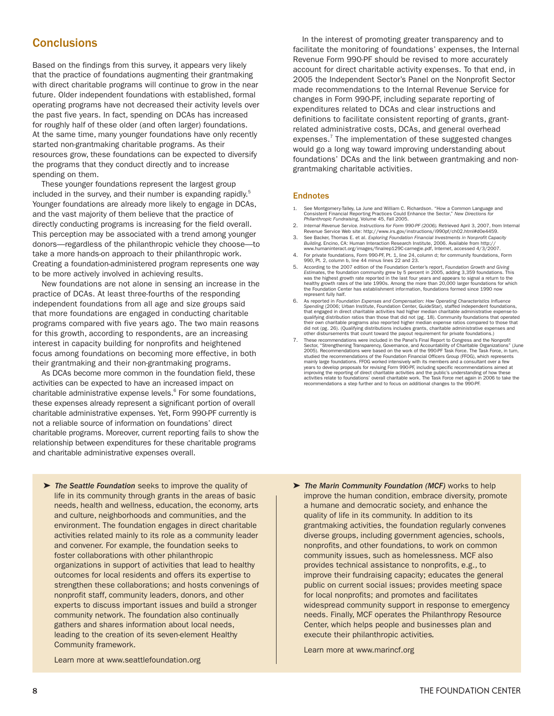## **Conclusions**

Based on the findings from this survey, it appears very likely that the practice of foundations augmenting their grantmaking with direct charitable programs will continue to grow in the near future. Older independent foundations with established, formal operating programs have not decreased their activity levels over the past five years. In fact, spending on DCAs has increased for roughly half of these older (and often larger) foundations. At the same time, many younger foundations have only recently started non-grantmaking charitable programs. As their resources grow, these foundations can be expected to diversify the programs that they conduct directly and to increase spending on them.

These younger foundations represent the largest group included in the survey, and their number is expanding rapidly.<sup>5</sup> Younger foundations are already more likely to engage in DCAs, and the vast majority of them believe that the practice of directly conducting programs is increasing for the field overall. This perception may be associated with a trend among younger donors—regardless of the philanthropic vehicle they choose—to take a more hands-on approach to their philanthropic work. Creating a foundation-administered program represents one way to be more actively involved in achieving results.

New foundations are not alone in sensing an increase in the practice of DCAs. At least three-fourths of the responding independent foundations from all age and size groups said that more foundations are engaged in conducting charitable programs compared with five years ago. The two main reasons for this growth, according to respondents, are an increasing interest in capacity building for nonprofits and heightened focus among foundations on becoming more effective, in both their grantmaking and their non-grantmaking programs.

As DCAs become more common in the foundation field, these activities can be expected to have an increased impact on charitable administrative expense levels.<sup>6</sup> For some foundations, these expenses already represent a significant portion of overall charitable administrative expenses. Yet, Form 990-PF currently is not a reliable source of information on foundations' direct charitable programs. Moreover, current reporting fails to show the relationship between expenditures for these charitable programs and charitable administrative expenses overall.

➤ *The Seattle Foundation* seeks to improve the quality of life in its community through grants in the areas of basic needs, health and wellness, education, the economy, arts and culture, neighborhoods and communities, and the environment. The foundation engages in direct charitable activities related mainly to its role as a community leader and convener. For example, the foundation seeks to foster collaborations with other philanthropic organizations in support of activities that lead to healthy outcomes for local residents and offers its expertise to strengthen these collaborations; and hosts convenings of nonprofit staff, community leaders, donors, and other experts to discuss important issues and build a stronger community network. The foundation also continually gathers and shares information about local needs, leading to the creation of its seven-element Healthy Community framework.

Learn more at www.seattlefoundation.org

In the interest of promoting greater transparency and to facilitate the monitoring of foundations' expenses, the Internal Revenue Form 990-PF should be revised to more accurately account for direct charitable activity expenses. To that end, in 2005 the Independent Sector's Panel on the Nonprofit Sector made recommendations to the Internal Revenue Service for changes in Form 990-PF, including separate reporting of expenditures related to DCAs and clear instructions and definitions to facilitate consistent reporting of grants, grantrelated administrative costs, DCAs, and general overhead expenses.<sup>7</sup> The implementation of these suggested changes would go a long way toward improving understanding about foundations' DCAs and the link between grantmaking and nongrantmaking charitable activities.

#### **Endnotes**

- 1. See Montgomery-Talley, La June and William C. Richardson. "How a Common Language and Consistent Financial Reporting Practices Could Enhance the Sector," *New Directions for Philanthropic Fundraising*, Volume 45, Fall 2005.
- 2. *Internal Revenue Service. Instructions for Form 990-PF (2006).* Retrieved April 3, 2007, from Internal Revenue Service Web site: http://www.irs.gov/instructions/i990pf/ch02.html#d0e4459.
- 3. See Backer, Thomas E. et al. Exploring Foundation Financial Investments in Nonprofit Capacity<br>Building. Encino, CA: Human Interaction Research Institute, 2006. Available from http://<br>www.humaninteract.org/images/finalre
- 4. For private foundations, Form 990-PF, Pt. 1, line 24, column d; for community foundations, Form 990, Pt. 2, column b, line 44 minus lines 22 and 23.
- 5. According to the 2007 edition of the Foundation Center's report, *Foundation Growth and Giving* Est*imate*s, the foundation community grew by 5 percent in 2005, adding 3,359 foundations. This<br>was the highest growth rate reported in the last four years and appears to signal a return to the<br>healthy growth rates of the the Foundation Center has establishment information, foundations formed since 1990 now represent fully half.
- 6. As reported in *Foundation Expenses and Compensation: How Operating Characteristics Influence Spending* (2006; Urban Institute, Foundation Center, GuideStar), staffed independent foundations, that engaged in direct charitable activities had higher median charitable administrative expense-to-<br>qualifying distribution ratios than those that did not (pg. 18). Community foundations that operated<br>their own charitable did not (pg. 26). (Qualifying distributions includes grants, charitable administrative expenses and other disbursements that count toward the payout requirement for private foundations.)
- 7. These recommendations were included in the Panel's Final Report to Congress and the Nonprofit 2005). Recommendations were based on the work of the 990-PF Task Force. The Task Force, in turn, studied the recommendations of the Foundation Financial Officers Group (FFOG), which represents mainly large foundations. FFOG worked intensively with its members and a consultant over a few<br>vears to develop proposals for revising Form 990-PF, including specific recommendations aimed at years to develop proposals for revising Form 990-PF, including specific recommendations aimed at improving the reporting of direct charitable activities and the public's understanding of how these activities relate to foundations' overall charitable work. The Task Force met again in 2006 to take the recommendations a step further and to focus on additional changes to the 990-PF. Sector, "Strengthening Transparency, Governance, and Accountability of Charitable Organizations" (June

➤ *The Marin Community Foundation (MCF)* works to help improve the human condition, embrace diversity, promote a humane and democratic society, and enhance the quality of life in its community. In addition to its grantmaking activities, the foundation regularly convenes diverse groups, including government agencies, schools, nonprofits, and other foundations, to work on common community issues, such as homelessness. MCF also provides technical assistance to nonprofits, e.g., to improve their fundraising capacity; educates the general public on current social issues; provides meeting space for local nonprofits; and promotes and facilitates widespread community support in response to emergency needs. Finally, MCF operates the Philanthropy Resource Center, which helps people and businesses plan and execute their philanthropic activities*.*

Learn more at www.marincf.org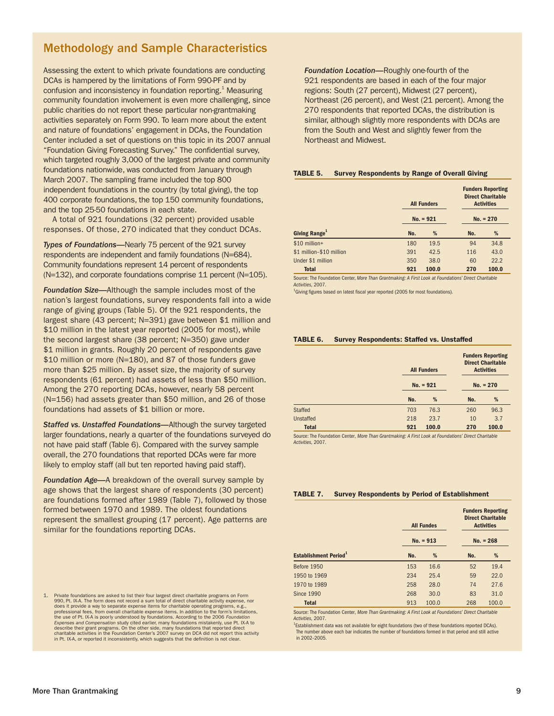## Methodology and Sample Characteristics

Assessing the extent to which private foundations are conducting DCAs is hampered by the limitations of Form 990-PF and by confusion and inconsistency in foundation reporting.<sup>1</sup> Measuring community foundation involvement is even more challenging, since public charities do not report these particular non-grantmaking activities separately on Form 990. To learn more about the extent and nature of foundations' engagement in DCAs, the Foundation Center included a set of questions on this topic in its 2007 annual "Foundation Giving Forecasting Survey." The confidential survey, which targeted roughly 3,000 of the largest private and community foundations nationwide, was conducted from January through March 2007. The sampling frame included the top 800 independent foundations in the country (by total giving), the top 400 corporate foundations, the top 150 community foundations, and the top 25-50 foundations in each state.

A total of 921 foundations (32 percent) provided usable responses. Of those, 270 indicated that they conduct DCAs.

**Types of Foundations—Nearly 75 percent of the 921 survey** respondents are independent and family foundations (N=684). Community foundations represent 14 percent of respondents (N=132), and corporate foundations comprise 11 percent (N=105).

*Foundation Size—*Although the sample includes most of the nation's largest foundations, survey respondents fall into a wide range of giving groups (Table 5). Of the 921 respondents, the largest share (43 percent; N=391) gave between \$1 million and \$10 million in the latest year reported (2005 for most), while the second largest share (38 percent; N=350) gave under \$1 million in grants. Roughly 20 percent of respondents gave \$10 million or more (N=180), and 87 of those funders gave more than \$25 million. By asset size, the majority of survey respondents (61 percent) had assets of less than \$50 million. Among the 270 reporting DCAs, however, nearly 58 percent (N=156) had assets greater than \$50 million, and 26 of those foundations had assets of \$1 billion or more.

*Staffed vs. Unstaffed Foundations—*Although the survey targeted larger foundations, nearly a quarter of the foundations surveyed do not have paid staff (Table 6). Compared with the survey sample overall, the 270 foundations that reported DCAs were far more likely to employ staff (all but ten reported having paid staff).

*Foundation Age—*A breakdown of the overall survey sample by age shows that the largest share of respondents (30 percent) are foundations formed after 1989 (Table 7), followed by those formed between 1970 and 1989. The oldest foundations represent the smallest grouping (17 percent). Age patterns are similar for the foundations reporting DCAs.

1. Private foundations are asked to list their four largest direct charitable programs on Form<br>990, Pt. IX-A. The form does not record a sum total of direct charitable activity expense, nor<br>does it provide a way to separat professional fees, from overall charitable expense items. In addition to the form's limitations, the use of Pt. IX-A is poorly understood by foundations. According to the 2006 Foundation<br>Expenses and Compensation study cited earlier, many foundations mistakenly, use Pt. IX-A to<br>describe their grant programs. On the ot *Foundation Location—*Roughly one-fourth of the 921 respondents are based in each of the four major regions: South (27 percent), Midwest (27 percent), Northeast (26 percent), and West (21 percent). Among the 270 respondents that reported DCAs, the distribution is similar, although slightly more respondents with DCAs are from the South and West and slightly fewer from the Northeast and Midwest.

#### **TABLE 5. Survey Respondents by Range of Overall Giving**

|                           | <b>All Funders</b> |             | <b>Funders Reporting</b><br><b>Direct Charitable</b><br><b>Activities</b> |       |  |  |
|---------------------------|--------------------|-------------|---------------------------------------------------------------------------|-------|--|--|
|                           | $No. = 921$        | $No. = 270$ |                                                                           |       |  |  |
| Giving Range <sup>1</sup> | No.                | %           | No.                                                                       | %     |  |  |
| \$10 million+             | 180                | 19.5        | 94                                                                        | 34.8  |  |  |
| \$1 million-\$10 million  | 391                | 42.5        | 116                                                                       | 43.0  |  |  |
| Under \$1 million         | 350                | 38.0        | 60                                                                        | 22.2  |  |  |
| <b>Total</b>              | 921                | 100.0       | 270                                                                       | 100.0 |  |  |

Source: The Foundation Center, *More Than Grantmaking: A First Look at Foundations' Direct Charitable Activities,* 2007.

<sup>1</sup>Giving figures based on latest fiscal year reported (2005 for most foundations).

#### **TABLE 6. Survey Respondents: Staffed vs. Unstaffed**

|                  |     | <b>All Funders</b> |             | <b>Funders Reporting</b><br><b>Direct Charitable</b><br><b>Activities</b> |  |  |  |
|------------------|-----|--------------------|-------------|---------------------------------------------------------------------------|--|--|--|
|                  |     | $No. = 921$        | $No. = 270$ |                                                                           |  |  |  |
|                  | No. | %                  | No.         | %                                                                         |  |  |  |
| <b>Staffed</b>   | 703 | 76.3               | 260         | 96.3                                                                      |  |  |  |
| <b>Unstaffed</b> | 218 | 23.7               | 10          | 3.7                                                                       |  |  |  |
| <b>Total</b>     | 921 | 100.0              | 270         | 100.0                                                                     |  |  |  |

Source: The Foundation Center, *More Than Grantmaking: A First Look at Foundations' Direct Charitable Activities,* 2007.

#### **TABLE 7. Survey Respondents by Period of Establishment**

|                                          |     | <b>All Fundes</b><br>$No. = 913$ | <b>Funders Reporting</b><br><b>Direct Charitable</b><br><b>Activities</b><br>$No. = 268$ |       |  |
|------------------------------------------|-----|----------------------------------|------------------------------------------------------------------------------------------|-------|--|
| <b>Establishment Period</b> <sup>1</sup> | No. | %                                | No.                                                                                      | %     |  |
| <b>Before 1950</b>                       | 153 | 16.6                             | 52                                                                                       | 19.4  |  |
| 1950 to 1969                             | 234 | 25.4                             | 59                                                                                       | 22.0  |  |
| 1970 to 1989                             | 258 | 28.0                             | 74                                                                                       | 27.6  |  |
| <b>Since 1990</b>                        | 268 | 30.0                             | 83                                                                                       | 31.0  |  |
| <b>Total</b>                             | 913 | 100.0                            | 268                                                                                      | 100.0 |  |

Source: The Foundation Center, *More Than Grantmaking: A First Look at Foundations' Direct Charitable Activities,* 2007.

<sup>1</sup>Establishment data was not available for eight foundations (two of these foundations reported DCAs). The number above each bar indicates the number of foundations formed in that period and still active in 2002–2005.